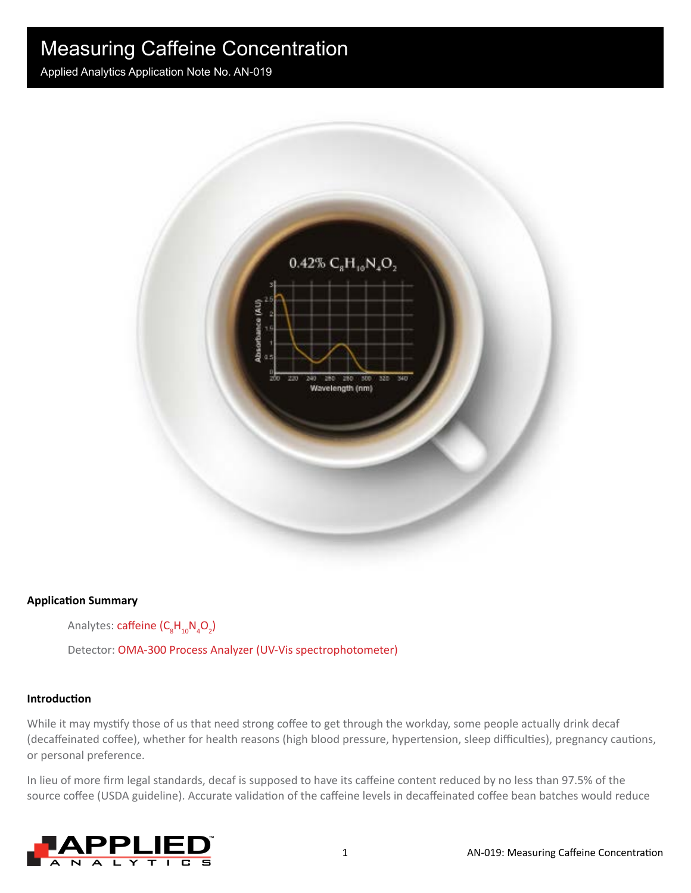Applied Analytics Application Note No. AN-019



#### **Application Summary**

Analytes: caffeine (C<sub>8</sub>H<sub>10</sub>N<sub>4</sub>O<sub>2</sub>)

Detector: OMA-300 Process Analyzer (UV-Vis spectrophotometer)

#### **Introduction**

While it may mystify those of us that need strong coffee to get through the workday, some people actually drink decaf (decaffeinated coffee), whether for health reasons (high blood pressure, hypertension, sleep difficulties), pregnancy cautions, or personal preference.

In lieu of more firm legal standards, decaf is supposed to have its caffeine content reduced by no less than 97.5% of the source coffee (USDA guideline). Accurate validation of the caffeine levels in decaffeinated coffee bean batches would reduce

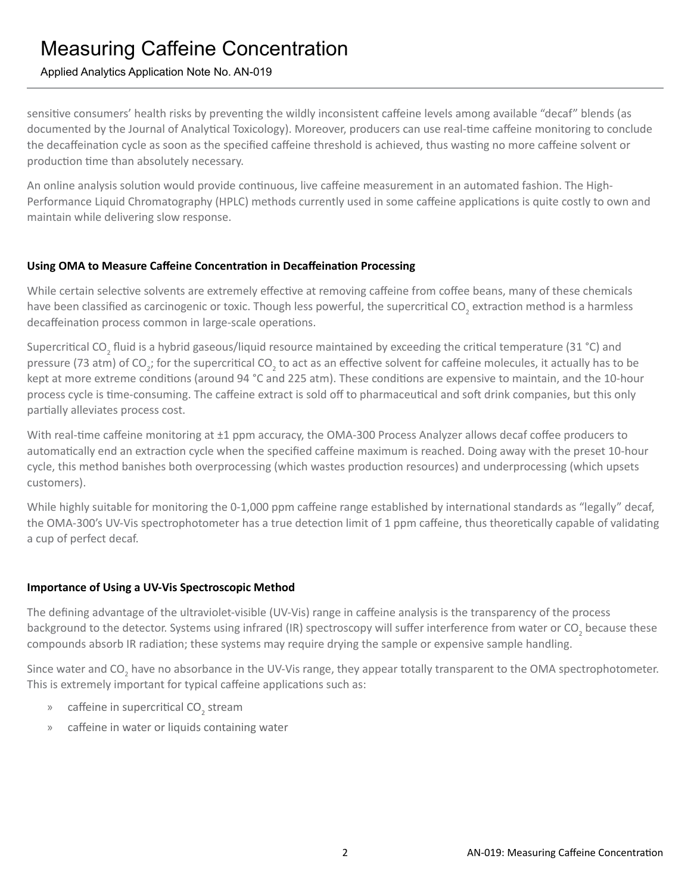### Applied Analytics Application Note No. AN-019

sensitive consumers' health risks by preventing the wildly inconsistent caffeine levels among available "decaf" blends (as documented by the Journal of Analytical Toxicology). Moreover, producers can use real-time caffeine monitoring to conclude the decaffeination cycle as soon as the specified caffeine threshold is achieved, thus wasting no more caffeine solvent or production time than absolutely necessary.

An online analysis solution would provide continuous, live caffeine measurement in an automated fashion. The High-Performance Liquid Chromatography (HPLC) methods currently used in some caffeine applications is quite costly to own and maintain while delivering slow response.

#### **Using OMA to Measure Caffeine Concentration in Decaffeination Processing**

While certain selective solvents are extremely effective at removing caffeine from coffee beans, many of these chemicals have been classified as carcinogenic or toxic. Though less powerful, the supercritical CO<sub>2</sub> extraction method is a harmless decaffeination process common in large-scale operations.

Supercritical CO<sub>2</sub> fluid is a hybrid gaseous/liquid resource maintained by exceeding the critical temperature (31 °C) and pressure (73 atm) of CO<sub>2</sub>; for the supercritical CO<sub>2</sub> to act as an effective solvent for caffeine molecules, it actually has to be kept at more extreme conditions (around 94 °C and 225 atm). These conditions are expensive to maintain, and the 10-hour process cycle is time-consuming. The caffeine extract is sold off to pharmaceutical and soft drink companies, but this only partially alleviates process cost.

With real-time caffeine monitoring at ±1 ppm accuracy, the OMA-300 Process Analyzer allows decaf coffee producers to automatically end an extraction cycle when the specified caffeine maximum is reached. Doing away with the preset 10-hour cycle, this method banishes both overprocessing (which wastes production resources) and underprocessing (which upsets customers).

While highly suitable for monitoring the 0-1,000 ppm caffeine range established by international standards as "legally" decaf, the OMA-300's UV-Vis spectrophotometer has a true detection limit of 1 ppm caffeine, thus theoretically capable of validating a cup of perfect decaf.

### **Importance of Using a UV-Vis Spectroscopic Method**

The defining advantage of the ultraviolet-visible (UV-Vis) range in caffeine analysis is the transparency of the process background to the detector. Systems using infrared (IR) spectroscopy will suffer interference from water or CO<sub>2</sub> because these compounds absorb IR radiation; these systems may require drying the sample or expensive sample handling.

Since water and CO<sub>2</sub> have no absorbance in the UV-Vis range, they appear totally transparent to the OMA spectrophotometer. This is extremely important for typical caffeine applications such as:

- » caffeine in supercritical  $CO_2$  stream
- » caffeine in water or liquids containing water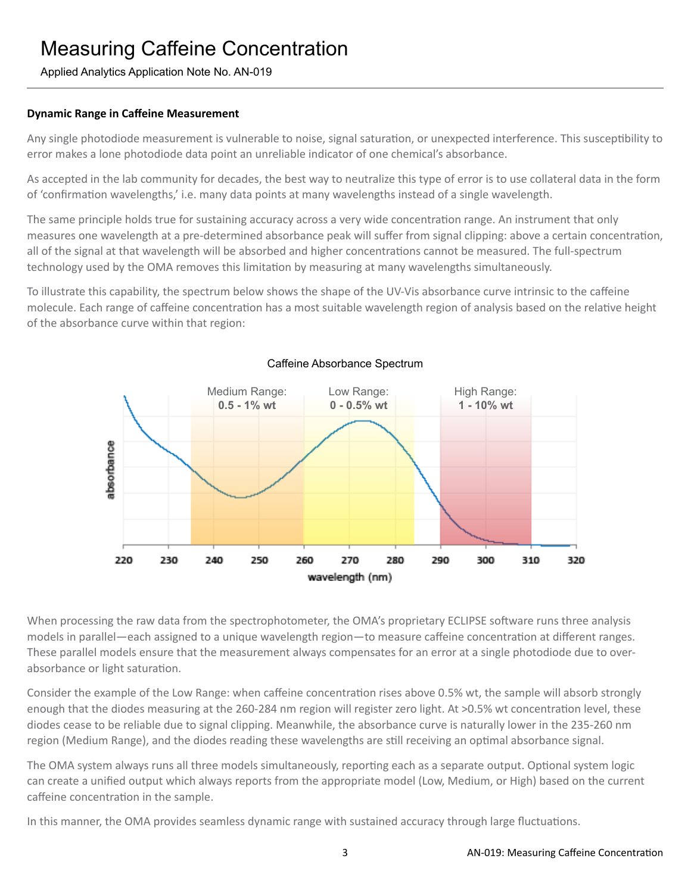### Applied Analytics Application Note No. AN-019

#### **Dynamic Range in Caffeine Measurement**

Any single photodiode measurement is vulnerable to noise, signal saturation, or unexpected interference. This susceptibility to error makes a lone photodiode data point an unreliable indicator of one chemical's absorbance.

As accepted in the lab community for decades, the best way to neutralize this type of error is to use collateral data in the form of 'confirmation wavelengths,' i.e. many data points at many wavelengths instead of a single wavelength.

The same principle holds true for sustaining accuracy across a very wide concentration range. An instrument that only measures one wavelength at a pre-determined absorbance peak will suffer from signal clipping: above a certain concentration, all of the signal at that wavelength will be absorbed and higher concentrations cannot be measured. The full-spectrum technology used by the OMA removes this limitation by measuring at many wavelengths simultaneously.

To illustrate this capability, the spectrum below shows the shape of the UV-Vis absorbance curve intrinsic to the caffeine molecule. Each range of caffeine concentration has a most suitable wavelength region of analysis based on the relative height of the absorbance curve within that region:



#### Caffeine Absorbance Spectrum

When processing the raw data from the spectrophotometer, the OMA's proprietary ECLIPSE software runs three analysis models in parallel—each assigned to a unique wavelength region—to measure caffeine concentration at different ranges. These parallel models ensure that the measurement always compensates for an error at a single photodiode due to overabsorbance or light saturation.

Consider the example of the Low Range: when caffeine concentration rises above 0.5% wt, the sample will absorb strongly enough that the diodes measuring at the 260-284 nm region will register zero light. At >0.5% wt concentration level, these diodes cease to be reliable due to signal clipping. Meanwhile, the absorbance curve is naturally lower in the 235-260 nm region (Medium Range), and the diodes reading these wavelengths are still receiving an optimal absorbance signal.

The OMA system always runs all three models simultaneously, reporting each as a separate output. Optional system logic can create a unified output which always reports from the appropriate model (Low, Medium, or High) based on the current caffeine concentration in the sample.

In this manner, the OMA provides seamless dynamic range with sustained accuracy through large fluctuations.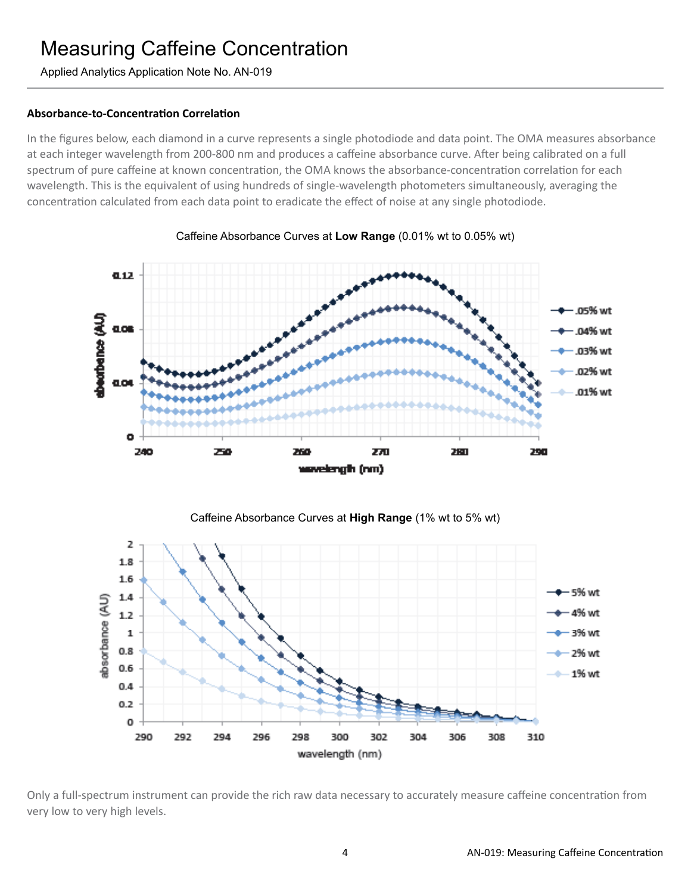Applied Analytics Application Note No. AN-019

#### **Absorbance-to-Concentration Correlation**

In the figures below, each diamond in a curve represents a single photodiode and data point. The OMA measures absorbance at each integer wavelength from 200-800 nm and produces a caffeine absorbance curve. After being calibrated on a full spectrum of pure caffeine at known concentration, the OMA knows the absorbance-concentration correlation for each wavelength. This is the equivalent of using hundreds of single-wavelength photometers simultaneously, averaging the concentration calculated from each data point to eradicate the effect of noise at any single photodiode.



Caffeine Absorbance Curves at **Low Range** (0.01% wt to 0.05% wt)





Only a full-spectrum instrument can provide the rich raw data necessary to accurately measure caffeine concentration from very low to very high levels.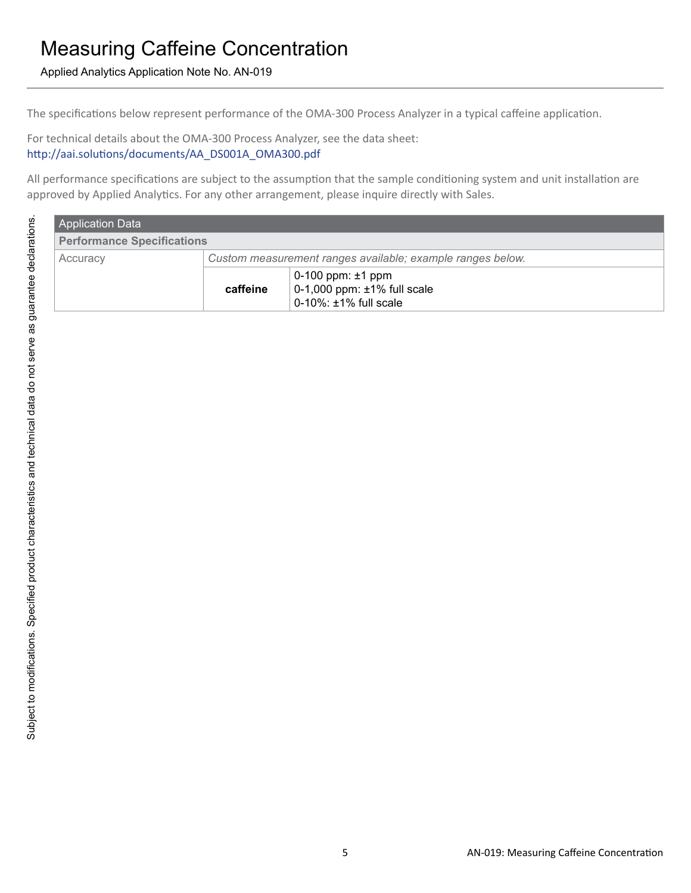Applied Analytics Application Note No. AN-019

The specifications below represent performance of the OMA-300 Process Analyzer in a typical caffeine application.

For technical details about the OMA-300 Process Analyzer, see the data sheet:

http://aai.solutions/documents/AA\_DS001A\_OMA300.pdf

All performance specifications are subject to the assumption that the sample conditioning system and unit installation are approved by Applied Analytics. For any other arrangement, please inquire directly with Sales.

| <b>Application Data</b>           |                                                            |                                                                                            |  |  |
|-----------------------------------|------------------------------------------------------------|--------------------------------------------------------------------------------------------|--|--|
| <b>Performance Specifications</b> |                                                            |                                                                                            |  |  |
| Accuracy                          | Custom measurement ranges available; example ranges below. |                                                                                            |  |  |
|                                   | caffeine                                                   | $0-100$ ppm: $\pm 1$ ppm<br>0-1,000 ppm: ±1% full scale<br>$0-10\%$ : $\pm 1\%$ full scale |  |  |